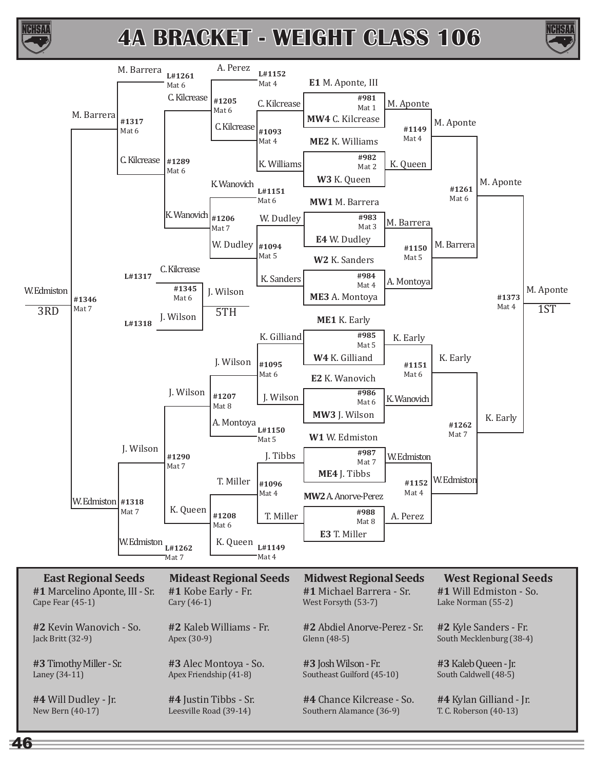



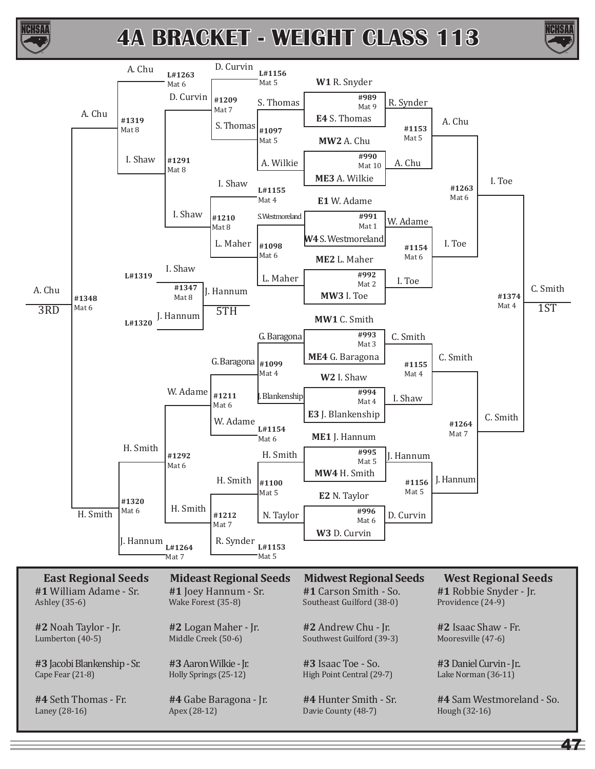



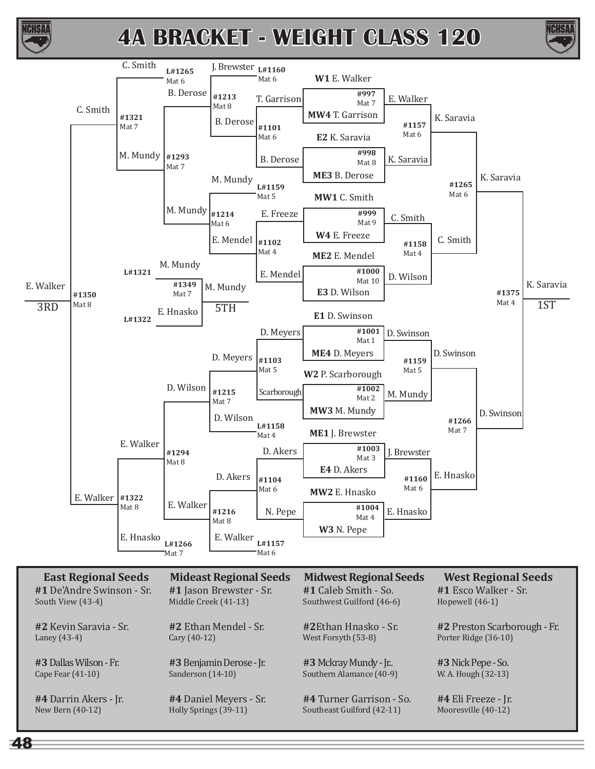



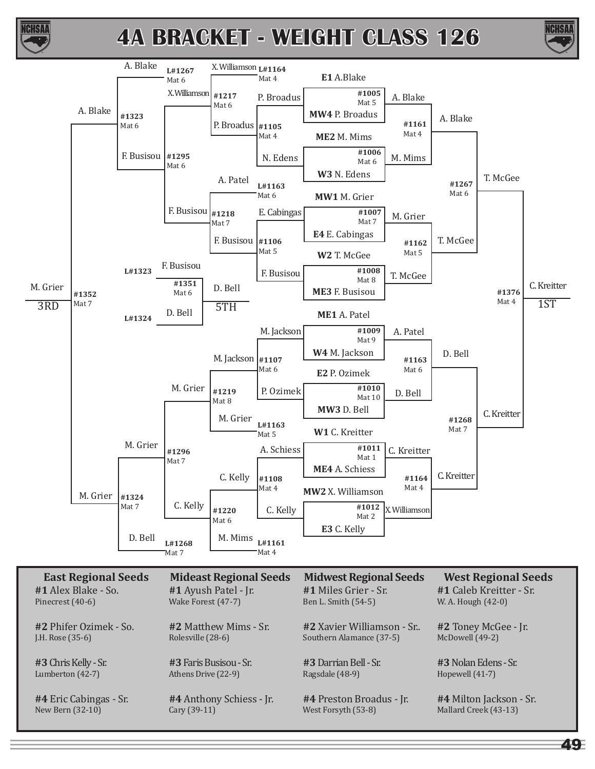



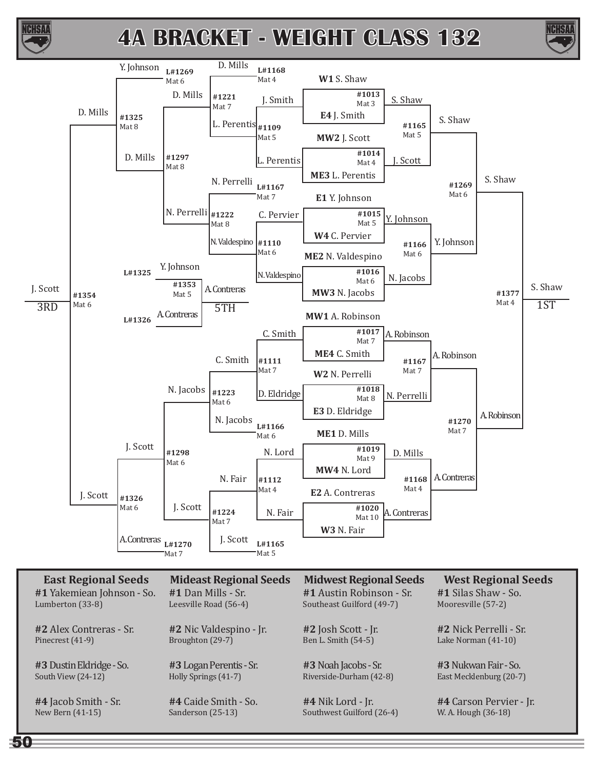



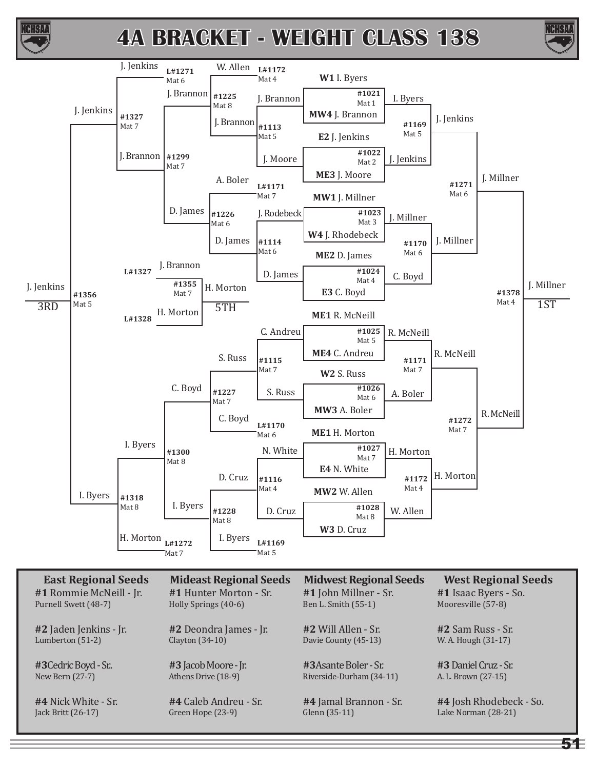



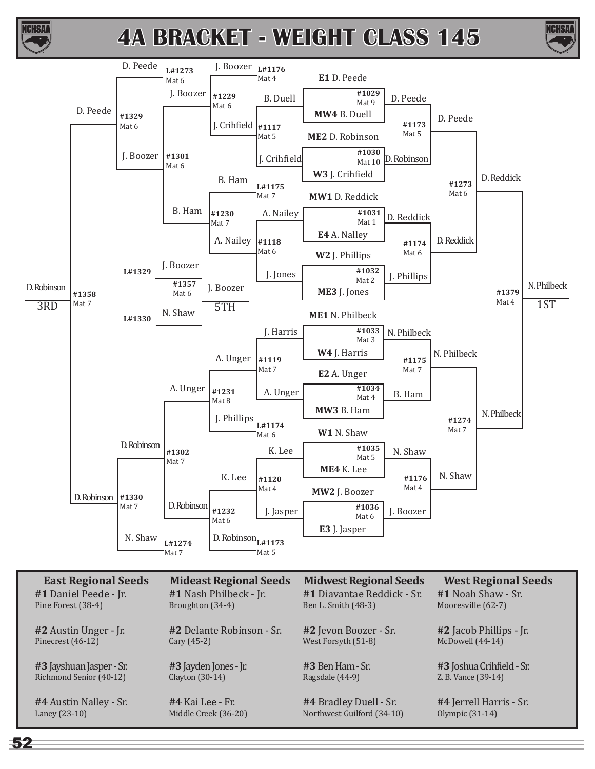





Z. B. Vance (39-14)

**#4** Jerrell Harris - Sr. Olympic (31-14)

**#4** Austin Nalley - Sr. Laney (23-10)

Richmond Senior (40-12)

**#3** Jayden Jones - Jr. Clayton (30-14)

**#4** Kai Lee - Fr. Middle Creek (36-20) **#3** Ben Ham - Sr. Ragsdale (44-9)

**#4** Bradley Duell - Sr. Northwest Guilford (34-10)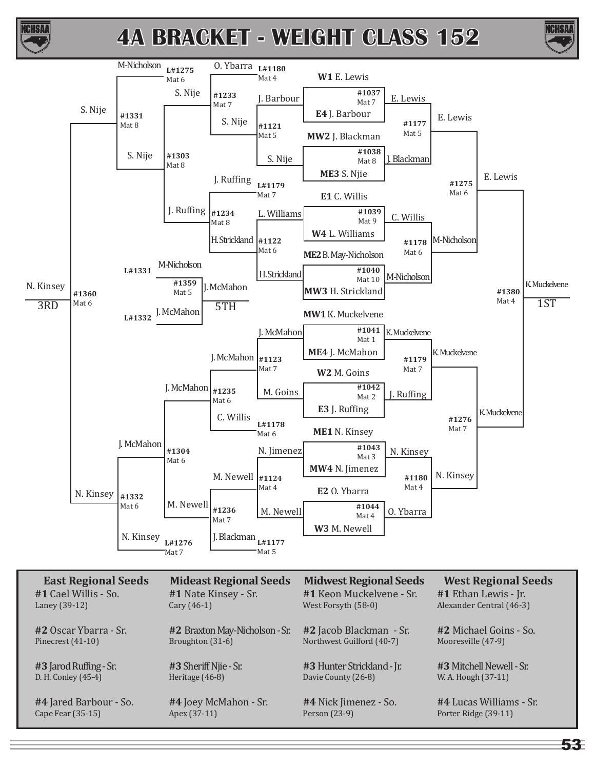





**#3** Jarod Ruffing - Sr. D. H. Conley (45-4)

Pinecrest (41-10)

**#4** Jared Barbour - So. Cape Fear (35-15)

Broughton (31-6)

**#3** Sheriff Njie - Sr. Heritage (46-8)

**#4** Joey McMahon - Sr. Apex (37-11)

Northwest Guilford (40-7)

**#3** Hunter Strickland - Jr. Davie County (26-8)

**#4** Nick Jimenez - So. Person (23-9)

Mooresville (47-9)

**#3** Mitchell Newell - Sr. W. A. Hough (37-11)

**#4** Lucas Williams - Sr. Porter Ridge (39-11)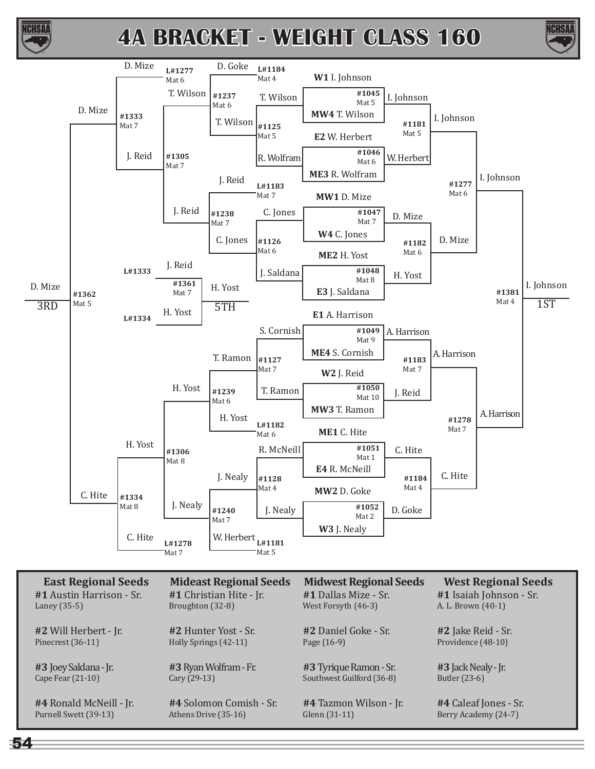





| <b>EUGLILLE</b> IOHUI DECUD | Princed Resignal Decad  | Primary Cot Tregional Decad | <b>Trebt Algabrith becap</b> |
|-----------------------------|-------------------------|-----------------------------|------------------------------|
| #1 Austin Harrison - Sr.    | #1 Christian Hite - Jr. | #1 Dallas Mize - Sr.        | #1 Isaiah Johnson - Sr.      |
| Laney $(35-5)$              | Broughton (32-8)        | West Forsyth (46-3)         | A. L. Brown (40-1)           |
| #2 Will Herbert - Jr.       | #2 Hunter Yost - Sr.    | #2 Daniel Goke - Sr.        | #2 Jake Reid - Sr.           |
| Pinecrest (36-11)           | Holly Springs (42-11)   | Page $(16-9)$               | Providence (48-10)           |
| #3 Joey Saldana - Jr.       | #3 Ryan Wolfram - Fr.   | #3 Tyrique Ramon - Sr.      | $#3$ Jack Nealy - Jr.        |
| Cape Fear $(21-10)$         | Cary (29-13)            | Southwest Guilford (36-8)   | Butler (23-6)                |
| #4 Ronald McNeill - Jr.     | #4 Solomon Comish - Sr. | #4 Tazmon Wilson - Jr.      | #4 Caleaf Jones - Sr.        |
| Purnell Swett (39-13)       | Athens Drive (35-16)    | Glenn $(31-11)$             | Berry Academy (24-7)         |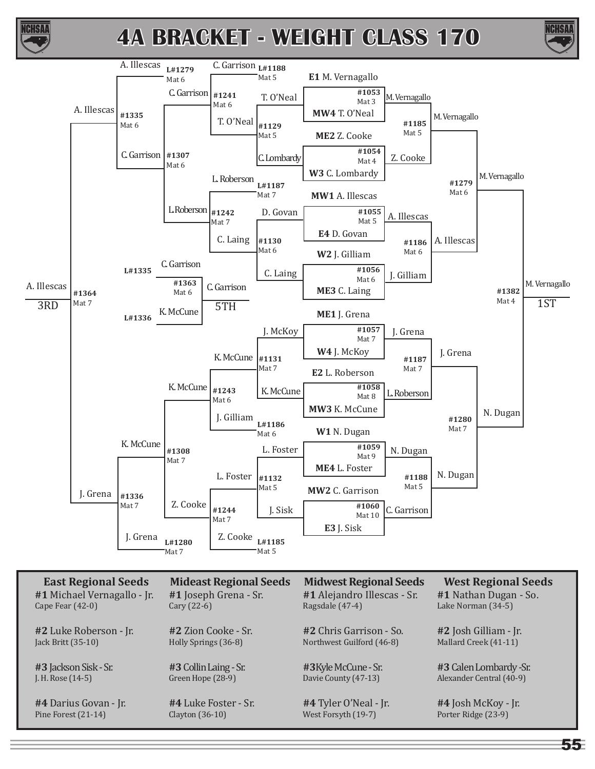



| East Regional Seeus         | Mudeast Regional Seeds | MIUWEST REGIONAL SEEUS      | <i><b>WEST REGIONAL SEEUS</b></i> |
|-----------------------------|------------------------|-----------------------------|-----------------------------------|
| #1 Michael Vernagallo - Jr. | #1 Joseph Grena - Sr.  | #1 Alejandro Illescas - Sr. | #1 Nathan Dugan - So.             |
| Cape Fear $(42-0)$          | Cary $(22-6)$          | Ragsdale (47-4)             | Lake Norman (34-5)                |
| #2 Luke Roberson - Jr.      | #2 Zion Cooke - Sr.    | #2 Chris Garrison - So.     | #2 Josh Gilliam - Jr.             |
| Jack Britt (35-10)          | Holly Springs (36-8)   | Northwest Guilford (46-8)   | Mallard Creek (41-11)             |
| #3 Jackson Sisk - Sr.       | #3 Collin Laing - Sr.  | #3 Kyle McCune - Sr.        | #3 Calen Lombardy -Sr.            |
| J. H. Rose $(14-5)$         | Green Hope (28-9)      | Davie County (47-13)        | Alexander Central (40-9)          |
| #4 Darius Govan - Jr.       | #4 Luke Foster - Sr.   | #4 Tyler O'Neal - Jr.       | #4 Josh McKoy - Jr.               |
| Pine Forest (21-14)         | Clayton $(36-10)$      | West Forsyth (19-7)         | Porter Ridge (23-9)               |

**NCHSAI**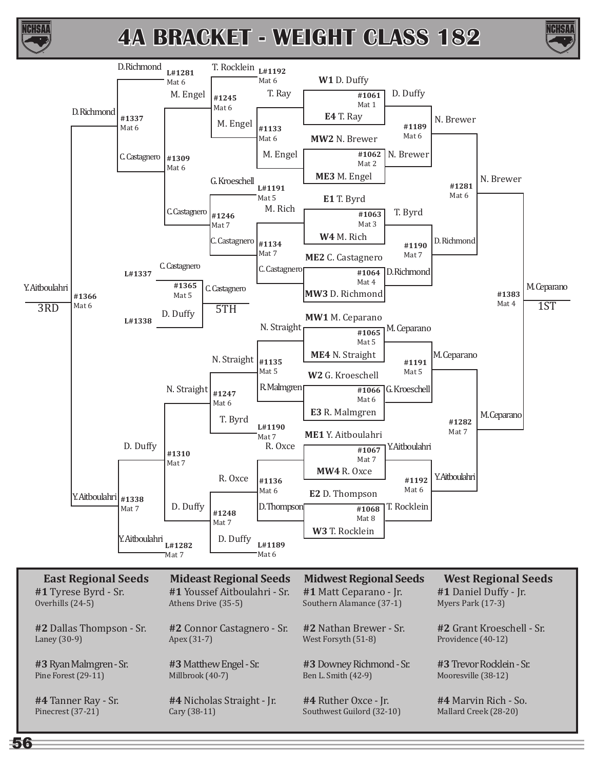



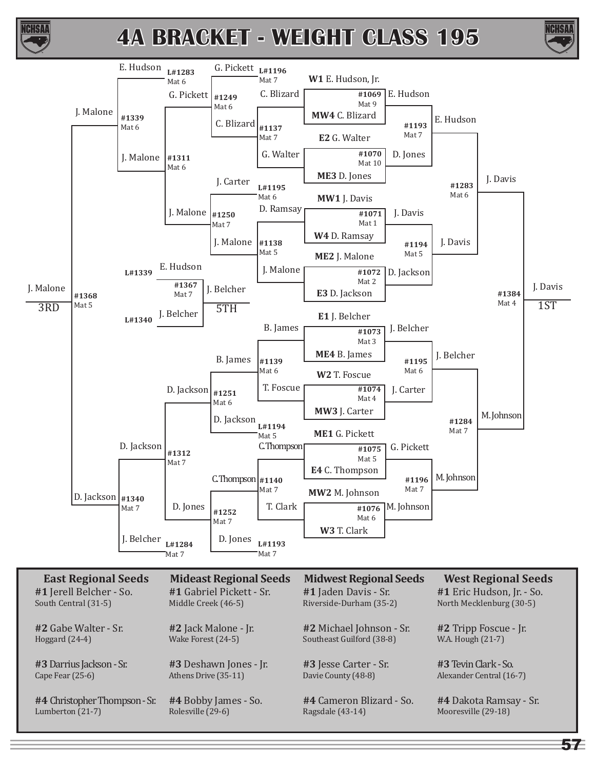



ICHSAI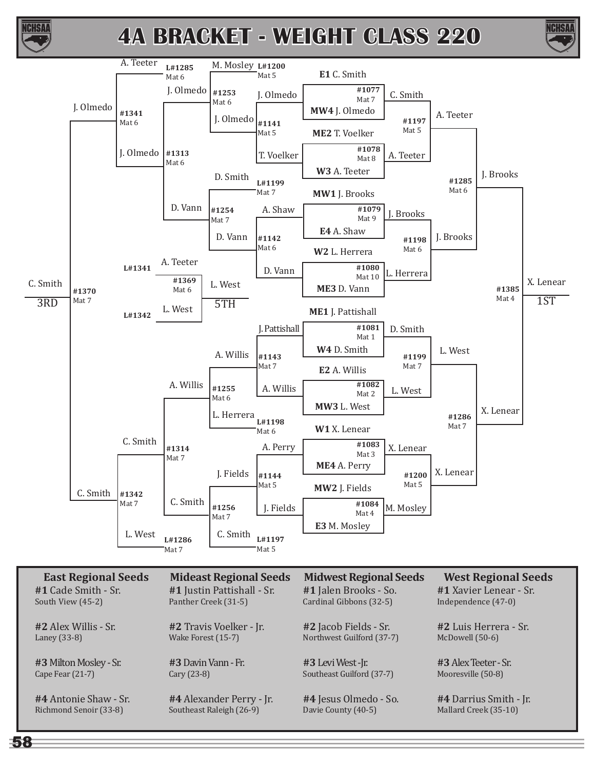





**#1** Cade Smith - Sr. South View (45-2)

**#2** Alex Willis - Sr. Laney (33-8)

**#3** Milton Mosley - Sr. Cape Fear (21-7)

**#4** Antonie Shaw - Sr. Richmond Senoir (33-8)

**#1** Justin Pattishall - Sr. Panther Creek (31-5)

**#2** Travis Voelker - Jr. Wake Forest (15-7)

**#3** Davin Vann - Fr. Cary (23-8)

**#4** Alexander Perry - Jr. Southeast Raleigh (26-9)

**#1** Jalen Brooks - So. Cardinal Gibbons (32-5)

**#2** Jacob Fields - Sr. Northwest Guilford (37-7)

**#3** Levi West -Jr. Southeast Guilford (37-7)

**#4** Jesus Olmedo - So. Davie County (40-5)

**#1** Xavier Lenear - Sr. Independence (47-0)

**#2** Luis Herrera - Sr. McDowell (50-6)

**#3** Alex Teeter - Sr. Mooresville (50-8)

**#4** Darrius Smith - Jr. Mallard Creek (35-10)